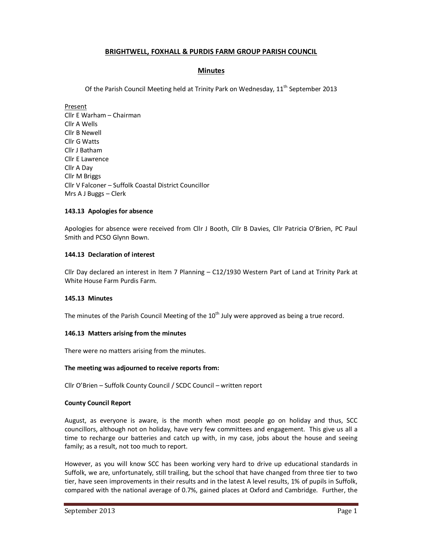# **BRIGHTWELL, FOXHALL & PURDIS FARM GROUP PARISH COUNCIL**

# **Minutes**

Of the Parish Council Meeting held at Trinity Park on Wednesday, 11<sup>th</sup> September 2013

Present Cllr E Warham – Chairman Cllr A Wells Cllr B Newell Cllr G Watts Cllr J Batham Cllr E Lawrence Cllr A Day Cllr M Briggs Cllr V Falconer – Suffolk Coastal District Councillor Mrs A J Buggs – Clerk

# **143.13 Apologies for absence**

Apologies for absence were received from Cllr J Booth, Cllr B Davies, Cllr Patricia O'Brien, PC Paul Smith and PCSO Glynn Bown.

# **144.13 Declaration of interest**

Cllr Day declared an interest in Item 7 Planning – C12/1930 Western Part of Land at Trinity Park at White House Farm Purdis Farm.

# **145.13 Minutes**

The minutes of the Parish Council Meeting of the  $10<sup>th</sup>$  July were approved as being a true record.

# **146.13 Matters arising from the minutes**

There were no matters arising from the minutes.

# **The meeting was adjourned to receive reports from:**

Cllr O'Brien – Suffolk County Council / SCDC Council – written report

# **County Council Report**

August, as everyone is aware, is the month when most people go on holiday and thus, SCC councillors, although not on holiday, have very few committees and engagement. This give us all a time to recharge our batteries and catch up with, in my case, jobs about the house and seeing family; as a result, not too much to report.

However, as you will know SCC has been working very hard to drive up educational standards in Suffolk, we are, unfortunately, still trailing, but the school that have changed from three tier to two tier, have seen improvements in their results and in the latest A level results, 1% of pupils in Suffolk, compared with the national average of 0.7%, gained places at Oxford and Cambridge. Further, the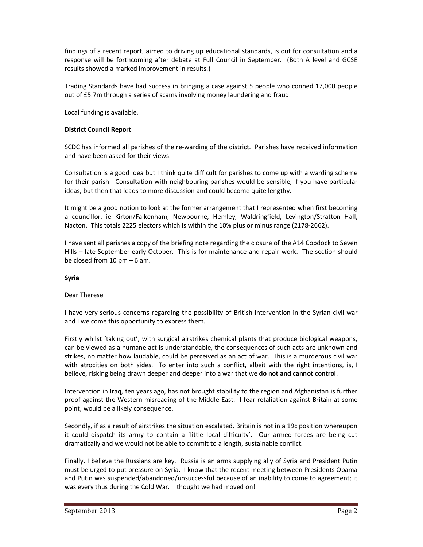findings of a recent report, aimed to driving up educational standards, is out for consultation and a response will be forthcoming after debate at Full Council in September. (Both A level and GCSE results showed a marked improvement in results.)

Trading Standards have had success in bringing a case against 5 people who conned 17,000 people out of £5.7m through a series of scams involving money laundering and fraud.

Local funding is available.

# **District Council Report**

SCDC has informed all parishes of the re-warding of the district. Parishes have received information and have been asked for their views.

Consultation is a good idea but I think quite difficult for parishes to come up with a warding scheme for their parish. Consultation with neighbouring parishes would be sensible, if you have particular ideas, but then that leads to more discussion and could become quite lengthy.

It might be a good notion to look at the former arrangement that I represented when first becoming a councillor, ie Kirton/Falkenham, Newbourne, Hemley, Waldringfield, Levington/Stratton Hall, Nacton. This totals 2225 electors which is within the 10% plus or minus range (2178-2662).

I have sent all parishes a copy of the briefing note regarding the closure of the A14 Copdock to Seven Hills – late September early October. This is for maintenance and repair work. The section should be closed from 10 pm – 6 am.

# **Syria**

# Dear Therese

I have very serious concerns regarding the possibility of British intervention in the Syrian civil war and I welcome this opportunity to express them.

Firstly whilst 'taking out', with surgical airstrikes chemical plants that produce biological weapons, can be viewed as a humane act is understandable, the consequences of such acts are unknown and strikes, no matter how laudable, could be perceived as an act of war. This is a murderous civil war with atrocities on both sides. To enter into such a conflict, albeit with the right intentions, is, I believe, risking being drawn deeper and deeper into a war that we **do not and cannot control**.

Intervention in Iraq, ten years ago, has not brought stability to the region and Afghanistan is further proof against the Western misreading of the Middle East. I fear retaliation against Britain at some point, would be a likely consequence.

Secondly, if as a result of airstrikes the situation escalated, Britain is not in a 19c position whereupon it could dispatch its army to contain a 'little local difficulty'. Our armed forces are being cut dramatically and we would not be able to commit to a length, sustainable conflict.

Finally, I believe the Russians are key. Russia is an arms supplying ally of Syria and President Putin must be urged to put pressure on Syria. I know that the recent meeting between Presidents Obama and Putin was suspended/abandoned/unsuccessful because of an inability to come to agreement; it was every thus during the Cold War. I thought we had moved on!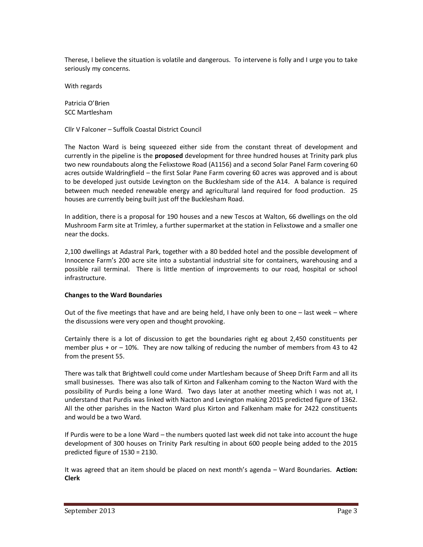Therese, I believe the situation is volatile and dangerous. To intervene is folly and I urge you to take seriously my concerns.

With regards

Patricia O'Brien SCC Martlesham

Cllr V Falconer – Suffolk Coastal District Council

The Nacton Ward is being squeezed either side from the constant threat of development and currently in the pipeline is the **proposed** development for three hundred houses at Trinity park plus two new roundabouts along the Felixstowe Road (A1156) and a second Solar Panel Farm covering 60 acres outside Waldringfield – the first Solar Pane Farm covering 60 acres was approved and is about to be developed just outside Levington on the Bucklesham side of the A14. A balance is required between much needed renewable energy and agricultural land required for food production. 25 houses are currently being built just off the Bucklesham Road.

In addition, there is a proposal for 190 houses and a new Tescos at Walton, 66 dwellings on the old Mushroom Farm site at Trimley, a further supermarket at the station in Felixstowe and a smaller one near the docks.

2,100 dwellings at Adastral Park, together with a 80 bedded hotel and the possible development of Innocence Farm's 200 acre site into a substantial industrial site for containers, warehousing and a possible rail terminal. There is little mention of improvements to our road, hospital or school infrastructure.

# **Changes to the Ward Boundaries**

Out of the five meetings that have and are being held, I have only been to one  $-$  last week – where the discussions were very open and thought provoking.

Certainly there is a lot of discussion to get the boundaries right eg about 2,450 constituents per member plus  $+$  or  $-$  10%. They are now talking of reducing the number of members from 43 to 42 from the present 55.

There was talk that Brightwell could come under Martlesham because of Sheep Drift Farm and all its small businesses. There was also talk of Kirton and Falkenham coming to the Nacton Ward with the possibility of Purdis being a lone Ward. Two days later at another meeting which I was not at, I understand that Purdis was linked with Nacton and Levington making 2015 predicted figure of 1362. All the other parishes in the Nacton Ward plus Kirton and Falkenham make for 2422 constituents and would be a two Ward.

If Purdis were to be a lone Ward – the numbers quoted last week did not take into account the huge development of 300 houses on Trinity Park resulting in about 600 people being added to the 2015 predicted figure of 1530 = 2130.

It was agreed that an item should be placed on next month's agenda – Ward Boundaries. **Action: Clerk**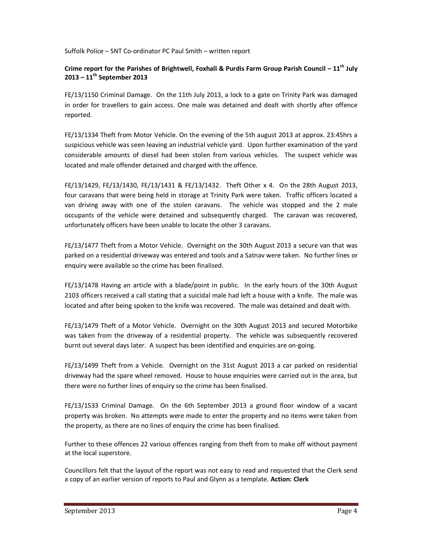Suffolk Police – SNT Co-ordinator PC Paul Smith – written report

# **Crime report for the Parishes of Brightwell, Foxhall & Purdis Farm Group Parish Council – 11th July 2013 – 11th September 2013**

FE/13/1150 Criminal Damage. On the 11th July 2013, a lock to a gate on Trinity Park was damaged in order for travellers to gain access. One male was detained and dealt with shortly after offence reported.

FE/13/1334 Theft from Motor Vehicle. On the evening of the 5th august 2013 at approx. 23:45hrs a suspicious vehicle was seen leaving an industrial vehicle yard. Upon further examination of the yard considerable amounts of diesel had been stolen from various vehicles. The suspect vehicle was located and male offender detained and charged with the offence.

FE/13/1429, FE/13/1430, FE/13/1431 & FE/13/1432. Theft Other x 4. On the 28th August 2013, four caravans that were being held in storage at Trinity Park were taken. Traffic officers located a van driving away with one of the stolen caravans. The vehicle was stopped and the 2 male occupants of the vehicle were detained and subsequently charged. The caravan was recovered, unfortunately officers have been unable to locate the other 3 caravans.

FE/13/1477 Theft from a Motor Vehicle. Overnight on the 30th August 2013 a secure van that was parked on a residential driveway was entered and tools and a Satnav were taken. No further lines or enquiry were available so the crime has been finalised.

FE/13/1478 Having an article with a blade/point in public. In the early hours of the 30th August 2103 officers received a call stating that a suicidal male had left a house with a knife. The male was located and after being spoken to the knife was recovered. The male was detained and dealt with.

FE/13/1479 Theft of a Motor Vehicle. Overnight on the 30th August 2013 and secured Motorbike was taken from the driveway of a residential property. The vehicle was subsequently recovered burnt out several days later. A suspect has been identified and enquiries are on-going.

FE/13/1499 Theft from a Vehicle. Overnight on the 31st August 2013 a car parked on residential driveway had the spare wheel removed. House to house enquiries were carried out in the area, but there were no further lines of enquiry so the crime has been finalised.

FE/13/1533 Criminal Damage. On the 6th September 2013 a ground floor window of a vacant property was broken. No attempts were made to enter the property and no items were taken from the property, as there are no lines of enquiry the crime has been finalised.

Further to these offences 22 various offences ranging from theft from to make off without payment at the local superstore.

Councillors felt that the layout of the report was not easy to read and requested that the Clerk send a copy of an earlier version of reports to Paul and Glynn as a template. **Action: Clerk**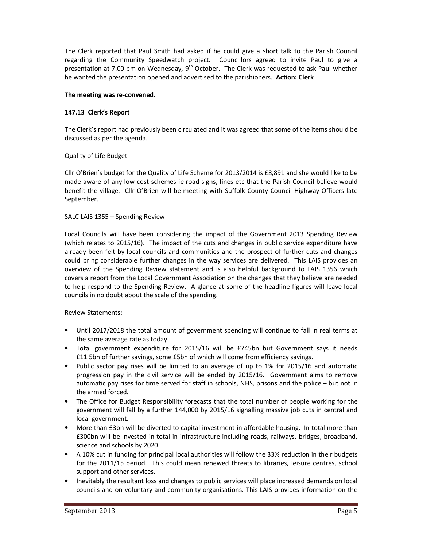The Clerk reported that Paul Smith had asked if he could give a short talk to the Parish Council regarding the Community Speedwatch project. Councillors agreed to invite Paul to give a presentation at 7.00 pm on Wednesday, 9<sup>th</sup> October. The Clerk was requested to ask Paul whether he wanted the presentation opened and advertised to the parishioners. **Action: Clerk** 

## **The meeting was re-convened.**

## **147.13 Clerk's Report**

The Clerk's report had previously been circulated and it was agreed that some of the items should be discussed as per the agenda.

## Quality of Life Budget

Cllr O'Brien's budget for the Quality of Life Scheme for 2013/2014 is £8,891 and she would like to be made aware of any low cost schemes ie road signs, lines etc that the Parish Council believe would benefit the village. Cllr O'Brien will be meeting with Suffolk County Council Highway Officers late September.

## SALC LAIS 1355 – Spending Review

Local Councils will have been considering the impact of the Government 2013 Spending Review (which relates to 2015/16). The impact of the cuts and changes in public service expenditure have already been felt by local councils and communities and the prospect of further cuts and changes could bring considerable further changes in the way services are delivered. This LAIS provides an overview of the Spending Review statement and is also helpful background to LAIS 1356 which covers a report from the Local Government Association on the changes that they believe are needed to help respond to the Spending Review. A glance at some of the headline figures will leave local councils in no doubt about the scale of the spending.

#### Review Statements:

- Until 2017/2018 the total amount of government spending will continue to fall in real terms at the same average rate as today.
- Total government expenditure for 2015/16 will be £745bn but Government says it needs £11.5bn of further savings, some £5bn of which will come from efficiency savings.
- Public sector pay rises will be limited to an average of up to 1% for 2015/16 and automatic progression pay in the civil service will be ended by 2015/16. Government aims to remove automatic pay rises for time served for staff in schools, NHS, prisons and the police – but not in the armed forced.
- The Office for Budget Responsibility forecasts that the total number of people working for the government will fall by a further 144,000 by 2015/16 signalling massive job cuts in central and local government.
- More than £3bn will be diverted to capital investment in affordable housing. In total more than £300bn will be invested in total in infrastructure including roads, railways, bridges, broadband, science and schools by 2020.
- A 10% cut in funding for principal local authorities will follow the 33% reduction in their budgets for the 2011/15 period. This could mean renewed threats to libraries, leisure centres, school support and other services.
- Inevitably the resultant loss and changes to public services will place increased demands on local councils and on voluntary and community organisations. This LAIS provides information on the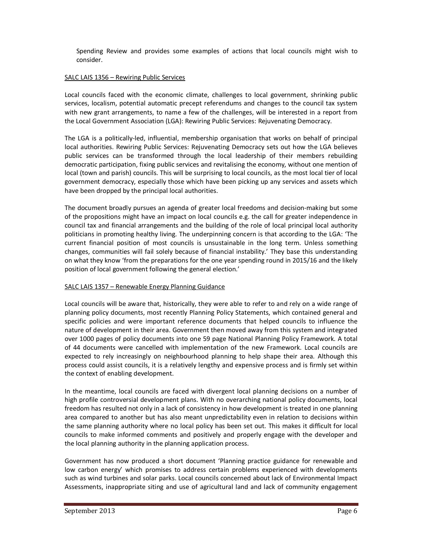Spending Review and provides some examples of actions that local councils might wish to consider.

## SALC LAIS 1356 – Rewiring Public Services

Local councils faced with the economic climate, challenges to local government, shrinking public services, localism, potential automatic precept referendums and changes to the council tax system with new grant arrangements, to name a few of the challenges, will be interested in a report from the Local Government Association (LGA): Rewiring Public Services: Rejuvenating Democracy.

The LGA is a politically-led, influential, membership organisation that works on behalf of principal local authorities. Rewiring Public Services: Rejuvenating Democracy sets out how the LGA believes public services can be transformed through the local leadership of their members rebuilding democratic participation, fixing public services and revitalising the economy, without one mention of local (town and parish) councils. This will be surprising to local councils, as the most local tier of local government democracy, especially those which have been picking up any services and assets which have been dropped by the principal local authorities.

The document broadly pursues an agenda of greater local freedoms and decision-making but some of the propositions might have an impact on local councils e.g. the call for greater independence in council tax and financial arrangements and the building of the role of local principal local authority politicians in promoting healthy living. The underpinning concern is that according to the LGA: 'The current financial position of most councils is unsustainable in the long term. Unless something changes, communities will fail solely because of financial instability.' They base this understanding on what they know 'from the preparations for the one year spending round in 2015/16 and the likely position of local government following the general election.'

# SALC LAIS 1357 – Renewable Energy Planning Guidance

Local councils will be aware that, historically, they were able to refer to and rely on a wide range of planning policy documents, most recently Planning Policy Statements, which contained general and specific policies and were important reference documents that helped councils to influence the nature of development in their area. Government then moved away from this system and integrated over 1000 pages of policy documents into one 59 page National Planning Policy Framework. A total of 44 documents were cancelled with implementation of the new Framework. Local councils are expected to rely increasingly on neighbourhood planning to help shape their area. Although this process could assist councils, it is a relatively lengthy and expensive process and is firmly set within the context of enabling development.

In the meantime, local councils are faced with divergent local planning decisions on a number of high profile controversial development plans. With no overarching national policy documents, local freedom has resulted not only in a lack of consistency in how development is treated in one planning area compared to another but has also meant unpredictability even in relation to decisions within the same planning authority where no local policy has been set out. This makes it difficult for local councils to make informed comments and positively and properly engage with the developer and the local planning authority in the planning application process.

Government has now produced a short document 'Planning practice guidance for renewable and low carbon energy' which promises to address certain problems experienced with developments such as wind turbines and solar parks. Local councils concerned about lack of Environmental Impact Assessments, inappropriate siting and use of agricultural land and lack of community engagement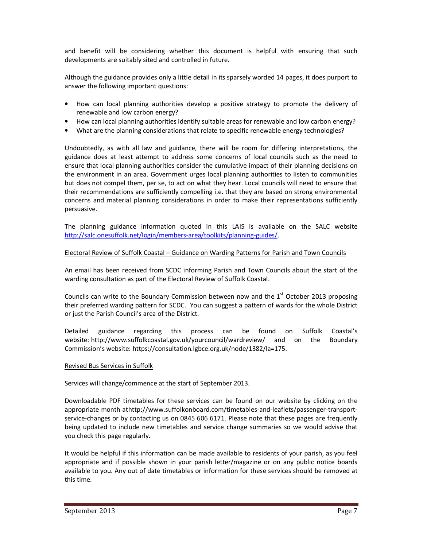and benefit will be considering whether this document is helpful with ensuring that such developments are suitably sited and controlled in future.

Although the guidance provides only a little detail in its sparsely worded 14 pages, it does purport to answer the following important questions:

- How can local planning authorities develop a positive strategy to promote the delivery of renewable and low carbon energy?
- How can local planning authorities identify suitable areas for renewable and low carbon energy?
- What are the planning considerations that relate to specific renewable energy technologies?

Undoubtedly, as with all law and guidance, there will be room for differing interpretations, the guidance does at least attempt to address some concerns of local councils such as the need to ensure that local planning authorities consider the cumulative impact of their planning decisions on the environment in an area. Government urges local planning authorities to listen to communities but does not compel them, per se, to act on what they hear. Local councils will need to ensure that their recommendations are sufficiently compelling i.e. that they are based on strong environmental concerns and material planning considerations in order to make their representations sufficiently persuasive.

The planning guidance information quoted in this LAIS is available on the SALC website http://salc.onesuffolk.net/login/members-area/toolkits/planning-guides/.

## Electoral Review of Suffolk Coastal – Guidance on Warding Patterns for Parish and Town Councils

An email has been received from SCDC informing Parish and Town Councils about the start of the warding consultation as part of the Electoral Review of Suffolk Coastal.

Councils can write to the Boundary Commission between now and the  $1<sup>st</sup>$  October 2013 proposing their preferred warding pattern for SCDC. You can suggest a pattern of wards for the whole District or just the Parish Council's area of the District.

Detailed guidance regarding this process can be found on Suffolk Coastal's website: http://www.suffolkcoastal.gov.uk/yourcouncil/wardreview/ and on the Boundary Commission's website: https://consultation.lgbce.org.uk/node/1382/la=175.

#### Revised Bus Services in Suffolk

Services will change/commence at the start of September 2013.

Downloadable PDF timetables for these services can be found on our website by clicking on the appropriate month athttp://www.suffolkonboard.com/timetables-and-leaflets/passenger-transportservice-changes or by contacting us on 0845 606 6171. Please note that these pages are frequently being updated to include new timetables and service change summaries so we would advise that you check this page regularly.

It would be helpful if this information can be made available to residents of your parish, as you feel appropriate and if possible shown in your parish letter/magazine or on any public notice boards available to you. Any out of date timetables or information for these services should be removed at this time.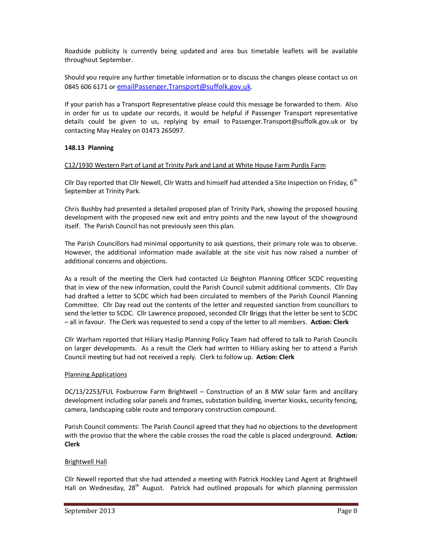Roadside publicity is currently being updated and area bus timetable leaflets will be available throughout September.

Should you require any further timetable information or to discuss the changes please contact us on 0845 606 6171 or emailPassenger.Transport@suffolk.gov.uk.

If your parish has a Transport Representative please could this message be forwarded to them. Also in order for us to update our records, it would be helpful if Passenger Transport representative details could be given to us, replying by email to Passenger.Transport@suffolk.gov.uk or by contacting May Healey on 01473 265097.

## **148.13 Planning**

## C12/1930 Western Part of Land at Trinity Park and Land at White House Farm Purdis Farm

Cllr Day reported that Cllr Newell, Cllr Watts and himself had attended a Site Inspection on Friday, 6<sup>th</sup> September at Trinity Park.

Chris Bushby had presented a detailed proposed plan of Trinity Park, showing the proposed housing development with the proposed new exit and entry points and the new layout of the showground itself. The Parish Council has not previously seen this plan.

The Parish Councillors had minimal opportunity to ask questions, their primary role was to observe. However, the additional information made available at the site visit has now raised a number of additional concerns and objections.

As a result of the meeting the Clerk had contacted Liz Beighton Planning Officer SCDC requesting that in view of the new information, could the Parish Council submit additional comments. Cllr Day had drafted a letter to SCDC which had been circulated to members of the Parish Council Planning Committee. Cllr Day read out the contents of the letter and requested sanction from councillors to send the letter to SCDC. Cllr Lawrence proposed, seconded Cllr Briggs that the letter be sent to SCDC – all in favour. The Clerk was requested to send a copy of the letter to all members. **Action: Clerk**

Cllr Warham reported that Hiliary Haslip Planning Policy Team had offered to talk to Parish Councils on larger developments. As a result the Clerk had written to Hiliary asking her to attend a Parish Council meeting but had not received a reply. Clerk to follow up. **Action: Clerk** 

#### Planning Applications

DC/13/2253/FUL Foxburrow Farm Brightwell – Construction of an 8 MW solar farm and ancillary development including solar panels and frames, substation building, inverter kiosks, security fencing, camera, landscaping cable route and temporary construction compound.

Parish Council comments: The Parish Council agreed that they had no objections to the development with the proviso that the where the cable crosses the road the cable is placed underground. **Action: Clerk** 

#### Brightwell Hall

Cllr Newell reported that she had attended a meeting with Patrick Hockley Land Agent at Brightwell Hall on Wednesday, 28<sup>th</sup> August. Patrick had outlined proposals for which planning permission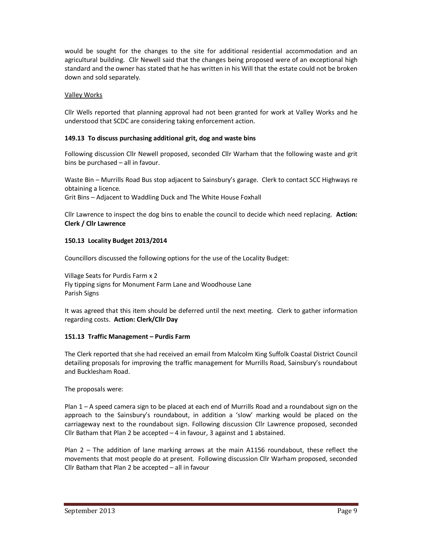would be sought for the changes to the site for additional residential accommodation and an agricultural building. Cllr Newell said that the changes being proposed were of an exceptional high standard and the owner has stated that he has written in his Will that the estate could not be broken down and sold separately.

# Valley Works

Cllr Wells reported that planning approval had not been granted for work at Valley Works and he understood that SCDC are considering taking enforcement action.

## **149.13 To discuss purchasing additional grit, dog and waste bins**

Following discussion Cllr Newell proposed, seconded Cllr Warham that the following waste and grit bins be purchased – all in favour.

Waste Bin – Murrills Road Bus stop adjacent to Sainsbury's garage. Clerk to contact SCC Highways re obtaining a licence.

Grit Bins – Adjacent to Waddling Duck and The White House Foxhall

Cllr Lawrence to inspect the dog bins to enable the council to decide which need replacing. **Action: Clerk / Cllr Lawrence**

## **150.13 Locality Budget 2013/2014**

Councillors discussed the following options for the use of the Locality Budget:

Village Seats for Purdis Farm x 2 Fly tipping signs for Monument Farm Lane and Woodhouse Lane Parish Signs

It was agreed that this item should be deferred until the next meeting. Clerk to gather information regarding costs. **Action: Clerk/Cllr Day** 

# **151.13 Traffic Management – Purdis Farm**

The Clerk reported that she had received an email from Malcolm King Suffolk Coastal District Council detailing proposals for improving the traffic management for Murrills Road, Sainsbury's roundabout and Bucklesham Road.

The proposals were:

Plan 1 – A speed camera sign to be placed at each end of Murrills Road and a roundabout sign on the approach to the Sainsbury's roundabout, in addition a 'slow' marking would be placed on the carriageway next to the roundabout sign. Following discussion Cllr Lawrence proposed, seconded Cllr Batham that Plan 2 be accepted – 4 in favour, 3 against and 1 abstained.

Plan 2 – The addition of lane marking arrows at the main A1156 roundabout, these reflect the movements that most people do at present. Following discussion Cllr Warham proposed, seconded Cllr Batham that Plan 2 be accepted – all in favour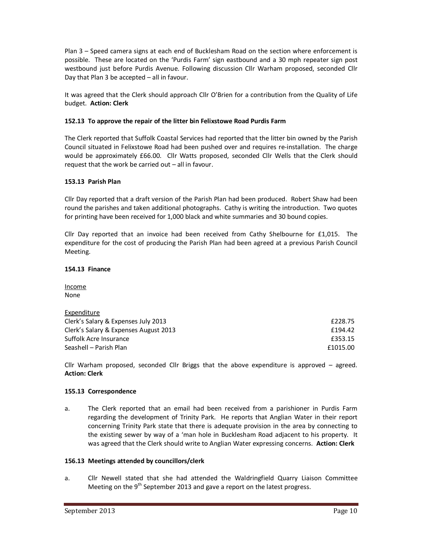Plan 3 – Speed camera signs at each end of Bucklesham Road on the section where enforcement is possible. These are located on the 'Purdis Farm' sign eastbound and a 30 mph repeater sign post westbound just before Purdis Avenue. Following discussion Cllr Warham proposed, seconded Cllr Day that Plan 3 be accepted – all in favour.

It was agreed that the Clerk should approach Cllr O'Brien for a contribution from the Quality of Life budget. **Action: Clerk** 

# **152.13 To approve the repair of the litter bin Felixstowe Road Purdis Farm**

The Clerk reported that Suffolk Coastal Services had reported that the litter bin owned by the Parish Council situated in Felixstowe Road had been pushed over and requires re-installation. The charge would be approximately £66.00. Cllr Watts proposed, seconded Cllr Wells that the Clerk should request that the work be carried out – all in favour.

#### **153.13 Parish Plan**

Cllr Day reported that a draft version of the Parish Plan had been produced. Robert Shaw had been round the parishes and taken additional photographs. Cathy is writing the introduction. Two quotes for printing have been received for 1,000 black and white summaries and 30 bound copies.

Cllr Day reported that an invoice had been received from Cathy Shelbourne for £1,015. The expenditure for the cost of producing the Parish Plan had been agreed at a previous Parish Council Meeting.

#### **154.13 Finance**

Income None

| Expenditure                           |          |
|---------------------------------------|----------|
| Clerk's Salary & Expenses July 2013   | £228.75  |
| Clerk's Salary & Expenses August 2013 | f194.42  |
| Suffolk Acre Insurance                | £353.15  |
| Seashell – Parish Plan                | £1015.00 |

Cllr Warham proposed, seconded Cllr Briggs that the above expenditure is approved – agreed. **Action: Clerk** 

#### **155.13 Correspondence**

a. The Clerk reported that an email had been received from a parishioner in Purdis Farm regarding the development of Trinity Park. He reports that Anglian Water in their report concerning Trinity Park state that there is adequate provision in the area by connecting to the existing sewer by way of a 'man hole in Bucklesham Road adjacent to his property. It was agreed that the Clerk should write to Anglian Water expressing concerns. **Action: Clerk** 

#### **156.13 Meetings attended by councillors/clerk**

a. Cllr Newell stated that she had attended the Waldringfield Quarry Liaison Committee Meeting on the  $9<sup>th</sup>$  September 2013 and gave a report on the latest progress.